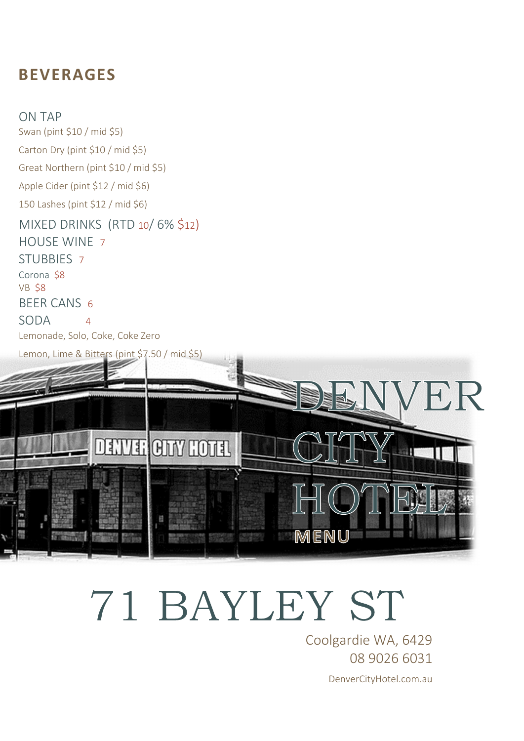#### **BEVERAGES**

ON TAP Swan (pint \$10 / mid \$5) Carton Dry (pint \$10 / mid \$5) Great Northern (pint \$10 / mid \$5) Apple Cider (pint \$12 / mid \$6) 150 Lashes (pint \$12 / mid \$6) MIXED DRINKS (RTD 10/ 6% \$12) HOUSE WINE 7 STUBBIES 7 Corona \$8 VB \$8 BEER CANS 6 SODA 4 Lemonade, Solo, Coke, Coke Zero



# 71 BAYLEY ST

Coolgardie WA, 6429 08 9026 6031 DenverCityHotel.com.au